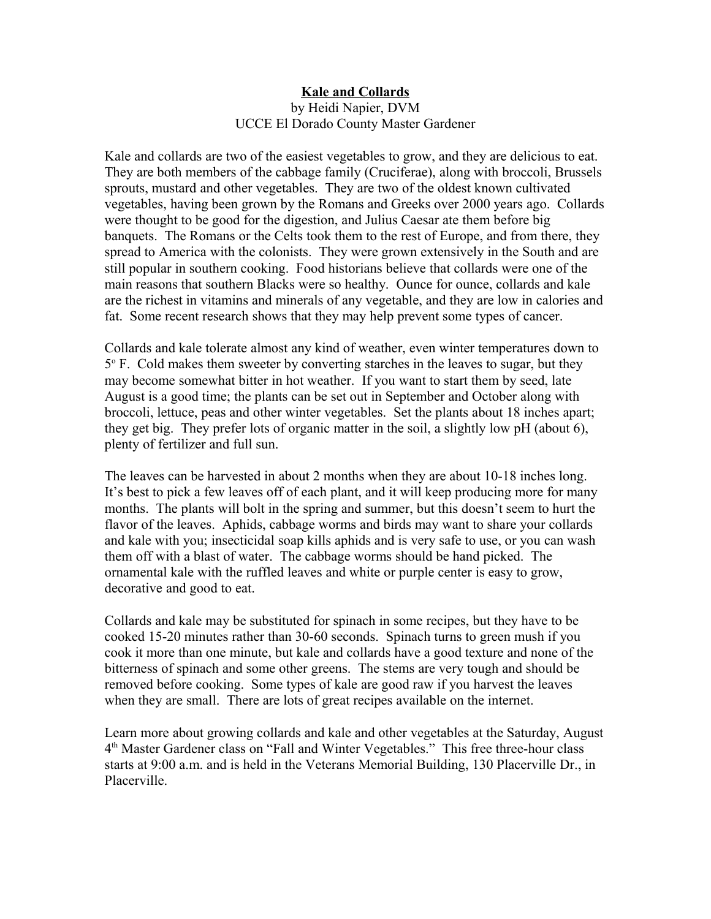## **Kale and Collards** by Heidi Napier, DVM UCCE El Dorado County Master Gardener

Kale and collards are two of the easiest vegetables to grow, and they are delicious to eat. They are both members of the cabbage family (Cruciferae), along with broccoli, Brussels sprouts, mustard and other vegetables. They are two of the oldest known cultivated vegetables, having been grown by the Romans and Greeks over 2000 years ago. Collards were thought to be good for the digestion, and Julius Caesar ate them before big banquets. The Romans or the Celts took them to the rest of Europe, and from there, they spread to America with the colonists. They were grown extensively in the South and are still popular in southern cooking. Food historians believe that collards were one of the main reasons that southern Blacks were so healthy. Ounce for ounce, collards and kale are the richest in vitamins and minerals of any vegetable, and they are low in calories and fat. Some recent research shows that they may help prevent some types of cancer.

Collards and kale tolerate almost any kind of weather, even winter temperatures down to 5° F. Cold makes them sweeter by converting starches in the leaves to sugar, but they may become somewhat bitter in hot weather. If you want to start them by seed, late August is a good time; the plants can be set out in September and October along with broccoli, lettuce, peas and other winter vegetables. Set the plants about 18 inches apart; they get big. They prefer lots of organic matter in the soil, a slightly low pH (about 6), plenty of fertilizer and full sun.

The leaves can be harvested in about 2 months when they are about 10-18 inches long. It's best to pick a few leaves off of each plant, and it will keep producing more for many months. The plants will bolt in the spring and summer, but this doesn't seem to hurt the flavor of the leaves. Aphids, cabbage worms and birds may want to share your collards and kale with you; insecticidal soap kills aphids and is very safe to use, or you can wash them off with a blast of water. The cabbage worms should be hand picked. The ornamental kale with the ruffled leaves and white or purple center is easy to grow, decorative and good to eat.

Collards and kale may be substituted for spinach in some recipes, but they have to be cooked 15-20 minutes rather than 30-60 seconds. Spinach turns to green mush if you cook it more than one minute, but kale and collards have a good texture and none of the bitterness of spinach and some other greens. The stems are very tough and should be removed before cooking. Some types of kale are good raw if you harvest the leaves when they are small. There are lots of great recipes available on the internet.

Learn more about growing collards and kale and other vegetables at the Saturday, August 4<sup>th</sup> Master Gardener class on "Fall and Winter Vegetables." This free three-hour class starts at 9:00 a.m. and is held in the Veterans Memorial Building, 130 Placerville Dr., in Placerville.